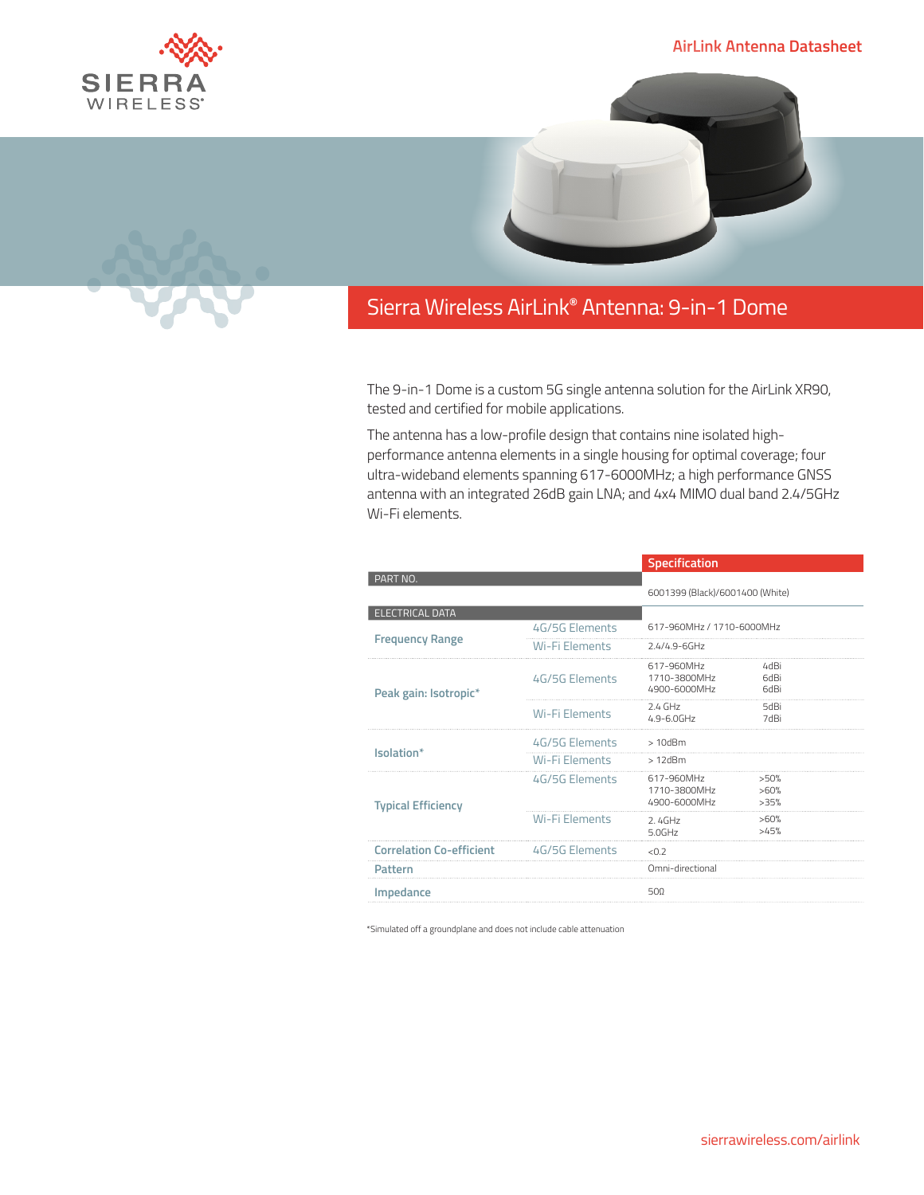## **AirLink Antenna Datasheet**





## Sierra Wireless **EMBEDDED MODULES HL SERIES** AirLink**®** Antenna: 9-in-1 Dome

The 9-in-1 Dome is a custom 5G single antenna solution for the AirLink XR90, tested and certified for mobile applications.

The antenna has a low-profile design that contains nine isolated highperformance antenna elements in a single housing for optimal coverage; four ultra-wideband elements spanning 617-6000MHz; a high performance GNSS antenna with an integrated 26dB gain LNA; and 4x4 MIMO dual band 2.4/5GHz Wi-Fi elements.

|                                 |                       | Specification                              |                      |  |
|---------------------------------|-----------------------|--------------------------------------------|----------------------|--|
| PART NO.                        |                       |                                            |                      |  |
|                                 |                       | 6001399 (Black)/6001400 (White)            |                      |  |
| <b>ELECTRICAL DATA</b>          |                       |                                            |                      |  |
| <b>Frequency Range</b>          | 4G/5G Elements        | 617-960MHz / 1710-6000MHz                  |                      |  |
|                                 | Wi-Fi Elements        | $2.4/4.9 - 6$ GHz                          |                      |  |
| Peak gain: Isotropic*           | 4G/5G Elements        | 617-960MHz<br>1710-3800MHz<br>4900-6000MHz | 4dBi<br>6dBi<br>6dBi |  |
|                                 | <b>Wi-Fi Elements</b> | $2.4$ GHz<br>$4.9 - 6.0$ GHz               | 5dBi<br>7dBi         |  |
| Isolation*                      | 4G/5G Elements        | $>10$ d $Bm$                               |                      |  |
|                                 | Wi-Fi Elements        | $>12$ d $Bm$                               |                      |  |
| <b>Typical Efficiency</b>       | 4G/5G Elements        | 617-960MHz<br>1710-3800MHz<br>4900-6000MHz | >50%<br>>60%<br>>35% |  |
|                                 | <b>Wi-Fi Elements</b> | 2.4GHz<br>50GHz                            | >60%<br>>45%         |  |
| <b>Correlation Co-efficient</b> | 4G/5G Flements        | < 0.7                                      |                      |  |
| Pattern                         |                       | Omni-directional                           |                      |  |
| Impedance                       |                       | 500                                        |                      |  |

\*Simulated off a groundplane and does not include cable attenuation